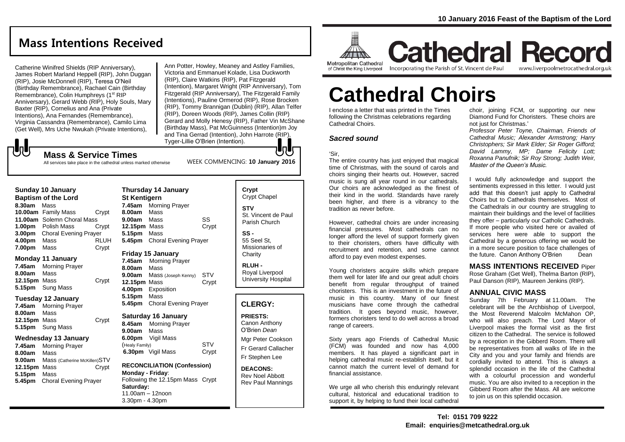# **Mass Intentions Received**

Catherine Winifred Shields (RIP Anniversary), James Robert Marland Heppell (RIP), John Duggan (RIP), Josie McDonnell (RIP), Teresa O'Neil (Birthday Remembrance), Rachael Cain (Birthday Remembrance), Colin Humphreys (1<sup>st</sup> RIP Anniversary), Gerard Webb (RIP), Holy Souls, Mary Baxter (RIP), Cornelius and Ana (Private Intentions), Ana Fernandes (Remembrance), Virginia Cassandra (Remembrance), Camilo Lima (Get Well), Mrs Uche Nwukah (Private Intentions),

Ann Potter, Howley, Meaney and Astley Families, Victoria and Emmanuel Kolade, Lisa Duckworth (RIP), Claire Watkins (RIP), Pat Fitzgerald (Intention), Margaret Wright (RIP Anniversary), Tom Fitzgerald (RIP Anniversary), The Fitzgerald Family (Intentions), Pauline Ormerod (RIP), Rose Brocken (RIP), Tommy Brannigan (Dublin) (RIP), Allan Telfer (RIP), Doreen Woods (RIP), James Collin (RIP) Gerard and Molly Henesy (RIP), Father Vin McShane (Birthday Mass), Pat McGuinness (Intention)m Joy and Tina Gerrad (Intention), John Harrote (RIP), Tyger-Lillie O'Brien (Intention). JnUr

WEEK COMMENCING: **10 January 2016**

## **Mass & Service Times**

All services take place in the cathedral unless marked otherwise

| Sunday 10 January<br><b>Baptism of the Lord</b> |                              |             |
|-------------------------------------------------|------------------------------|-------------|
| 8.30am                                          | Mass                         |             |
|                                                 | 10.00am Family Mass          | Crypt       |
|                                                 | 11.00am Solemn Choral Mass   |             |
| 1.00 <sub>pm</sub>                              | Polish Mass                  | Crypt       |
| 3.00 <sub>pm</sub>                              | <b>Choral Evening Prayer</b> |             |
| 4.00pm                                          | Mass                         | <b>RLUH</b> |
| 7.00pm                                          | Mass                         | Crypt       |

#### **Monday 11 January**

JJ

**7.45am** Morning Prayer **8.00am** Mass **12.15pm** Mass Crypt **5.15pm** Sung Mass

#### **Tuesday 12 January**

**7.45am** Morning Prayer **8.00am** Mass **12.15pm** Mass Crypt **5.15pm** Sung Mass

#### **Wednesday 13 January**

**7.45am** Morning Prayer **8.00am** Mass **9.00am** Mass (Catherine McKillen)STV **12.15pm** Mass Crypt **5.15pm** Mass **5.45pm** Choral Evening Prayer

**Thursday 14 January St Kentigern 7.45am** Morning Prayer **8.00am** Mass **9.00am** Mass SS **12.15pm** Mass Crypt **5.15pm** Mass **5.45pm** Choral Evening Prayer

#### **Friday 15 January**

**7.45am** Morning Prayer **8.00am** Mass **9.00am** Mass (Joseph Kenny) STV **12.15pm** Mass Crypt **4.00pm** Exposition **5.15pm** Mass **5.45pm** Choral Evening Prayer

#### **Saturday 16 January**

**8.45am** Morning Prayer **9.00am** Mass **6.00pm** Vigil Mass (Healy Family) STV **6.30pm** Vigil Mass Crypt

#### **RECONCILIATION (Confession) Monday - Friday**: Following the 12.15pm Mass Crypt **Saturday:** 11.00am – 12noon 3.30pm - 4.30pm

**Crypt**  Crypt Chapel **STV** St. Vincent de Paul Parish Church **SS -** 55 Seel St,

Missionaries of **Charity** 

**RLUH -** Royal Liverpool University Hospital

#### **CLERGY:**

**PRIESTS:** Canon Anthony O'Brien *Dean*

Mgr Peter Cookson Fr Gerard Callacher Fr Stephen Lee

**DEACONS:** Rev Noel Abbott Rev Paul Mannings



**Cathedral Record** Incorporating the Parish of St. Vincent de Paul www.liverpoolmetrocathedral.org.uk

# **Cathedral Choirs**

I enclose a letter that was printed in the Times following the Christmas celebrations regarding Cathedral Choirs.

#### *Sacred sound*

#### 'Sir,

The entire country has just enjoyed that magical time of Christmas, with the sound of carols and choirs singing their hearts out. However, sacred music is sung all year round in our cathedrals. Our choirs are acknowledged as the finest of their kind in the world. Standards have rarely been higher, and there is a vibrancy to the tradition as never before.

However, cathedral choirs are under increasing financial pressures. Most cathedrals can no longer afford the level of support formerly given to their choristers, others have difficulty with recruitment and retention, and some cannot afford to pay even modest expenses.

Young choristers acquire skills which prepare them well for later life and our great adult choirs benefit from regular throughput of trained choristers. This is an investment in the future of music in this country. Many of our finest musicians have come through the cathedral tradition. It goes beyond music, however, formers choristers tend to do well across a broad range of careers.

Sixty years ago Friends of Cathedral Music (FCM) was founded and now has 4,000 members. It has played a significant part in helping cathedral music re-establish itself, but it cannot match the current level of demand for financial assistance.

We urge all who cherish this enduringly relevant cultural, historical and educational tradition to support it, by helping to fund their local cathedral

choir, joining FCM, or supporting our new Diamond Fund for Choristers. These choirs are not just for Christmas.'

*Professor Peter Toyne, Chairman, Friends of Cathedral Music; Alexander Armstrong; Harry Christophers; Sir Mark Elder; Sir Roger Gifford; David Lammy, MP; Dame Felicity Lott; Roxanna Panufnik; Sir Roy Strong; Judith Weir, Master of the Queen's Music.*

I would fully acknowledge and support the sentiments expressed in this letter. I would just add that this doesn't just apply to Cathedral Choirs but to Cathedrals themselves. Most of the Cathedrals in our country are struggling to maintain their buildings and the level of facilities they offer – particularly our Catholic Cathedrals. If more people who visited here or availed of services here were able to support the Cathedral by a generous offering we would be in a more secure position to face challenges of the future. Canon Anthony O'Brien Dean

**MASS INTENTIONS RECEIVED** Piper Rose Graham (Get Well), Thelma Barton (RIP), Paul Danson (RIP), Maureen Jenkins (RIP).

#### **ANNUAL CIVIC MASS**

Sunday 7th February at 11.00am. The celebrant will be the Archbishop of Liverpool, the Most Reverend Malcolm McMahon OP, who will also preach. The Lord Mayor of Liverpool makes the formal visit as the first citizen to the Cathedral. The service is followed by a reception in the Gibberd Room. There will be representatives from all walks of life in the City and you and your family and friends are cordially invited to attend. This is always a splendid occasion in the life of the Cathedral with a colourful procession and wonderful music. You are also invited to a reception in the Gibberd Room after the Mass. All are welcome to join us on this splendid occasion.